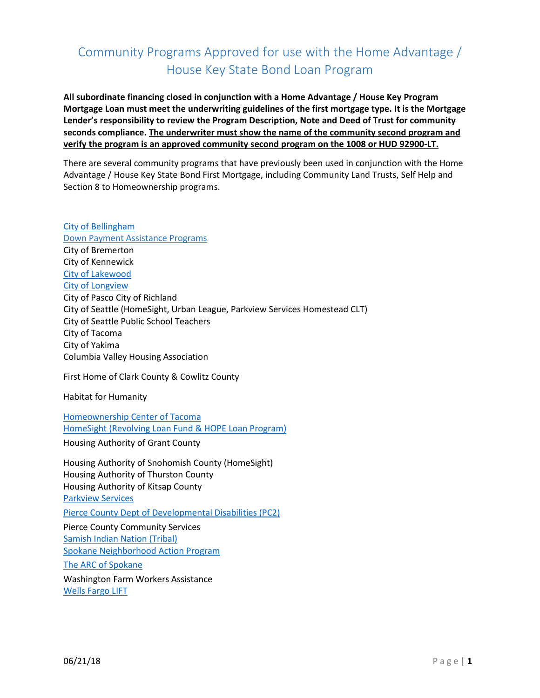## Community Programs Approved for use with the Home Advantage / House Key State Bond Loan Program

**All subordinate financing closed in conjunction with a Home Advantage / House Key Program Mortgage Loan must meet the underwriting guidelines of the first mortgage type. It is the Mortgage Lender's responsibility to review the Program Description, Note and Deed of Trust for community seconds compliance. The underwriter must show the name of the community second program and verify the program is an approved community second program on the 1008 or HUD 92900-LT.**

There are several community programs that have previously been used in conjunction with the Home Advantage / House Key State Bond First Mortgage, including Community Land Trusts, Self Help and Section 8 to Homeownership programs.

[City of Bellingham](http://www.wshfc.org/buyers/Bellingham.htm) Down Payment Assistance Programs City of Bremerton City of Kennewick [City of Lakewood](https://www.cityoflakewood.us/community-development/community-housing-programs/down-payment-assistance) [City of Longview](http://www.mylongview.com/index.aspx?page=500) City of Pasco City of Richland City of Seattle (HomeSight, Urban League, Parkview Services Homestead CLT) City of Seattle Public School Teachers City of Tacoma City of Yakima Columbia Valley Housing Association

First Home of Clark County & Cowlitz County

Habitat for Humanity

[Homeownership Center of Tacoma](http://www.hcthomes.org/welcome.html) [HomeSight \(Revolving Loan Fund & HOPE Loan](http://www.homesightwa.org/) Program)

Housing Authority of Grant County

Housing Authority of Snohomish County (HomeSight) Housing Authority of Thurston County Housing Authority of Kitsap County [Parkview Services](http://www.parkviewservices.org/down-payment-assistance-programs/) [Pierce County Dept of Developmental Disabilities \(PC2\)](http://www.pc2online.org/pc2-s-housing-program) Pierce County Community Services [Samish Indian Nation \(Tribal\)](http://www.samishtribe.nsn.us/programs/housing/housing-programs/) [Spokane Neighborhood Action Program](https://www.snapwa.org/) [The ARC of Spokane](http://www.arc-spokane.org/) Washington Farm Workers Assistance [Wells Fargo LIFT](https://www.wellsfargo.com/mortgage/lift/)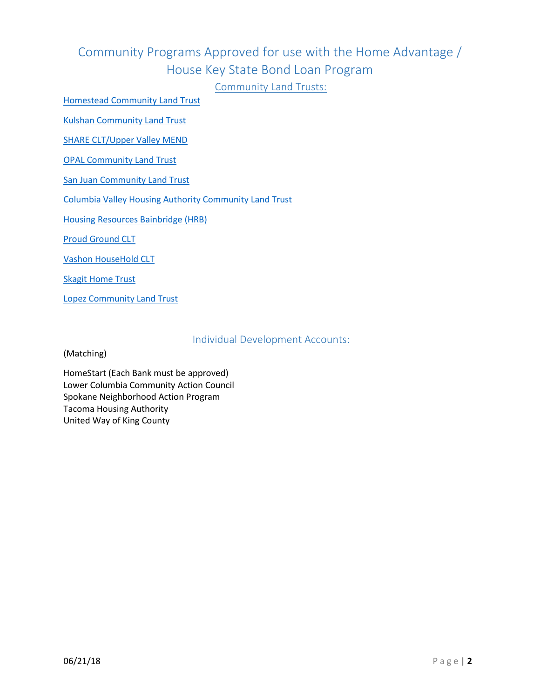# Community Programs Approved for use with the Home Advantage / House Key State Bond Loan Program

Community Land Trusts:

[Homestead Community Land Trust](http://www.homesteadclt.org/become-a-homeowner)

[Kulshan Community Land Trust](http://www.kulshanclt.org/)

[SHARE CLT/Upper Valley MEND](http://uvmend.org/)

[OPAL Community Land Trust](https://www.opalclt.org/)

San [Juan Community Land Trust](http://hometrust.org/)

[Columbia Valley Housing Authority Community Land Trust](https://www.columbiacountyhousing.com/_index.php)

[Housing Resources Bainbridge \(HRB\)](http://www.housingresourcesbi.org/)

[Proud Ground CLT](https://proudground.org/)

[Vashon HouseHold CLT](http://www.vashonhousehold.org/)

[Skagit Home Trust](http://hometrustofskagit.org/)

[Lopez Community Land Trust](http://www.lopezclt.org/)

Individual Development Accounts:

(Matching)

HomeStart (Each Bank must be approved) Lower Columbia Community Action Council Spokane Neighborhood Action Program Tacoma Housing Authority United Way of King County